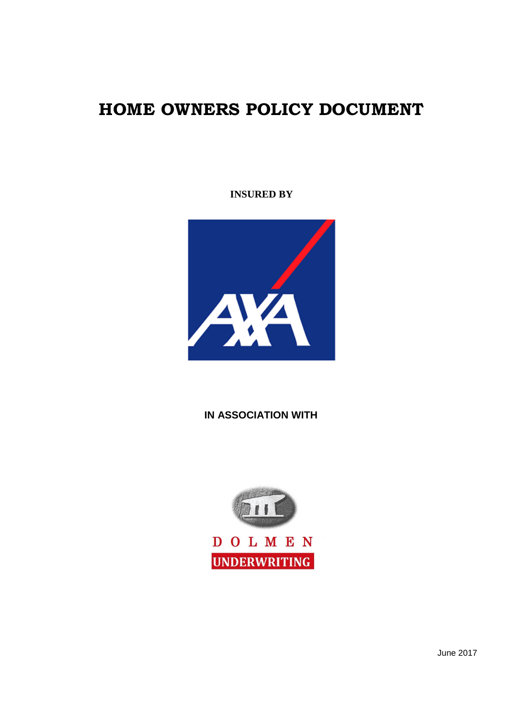# **HOME OWNERS POLICY DOCUMENT**

## **INSURED BY**



## **IN ASSOCIATION WITH**



June 2017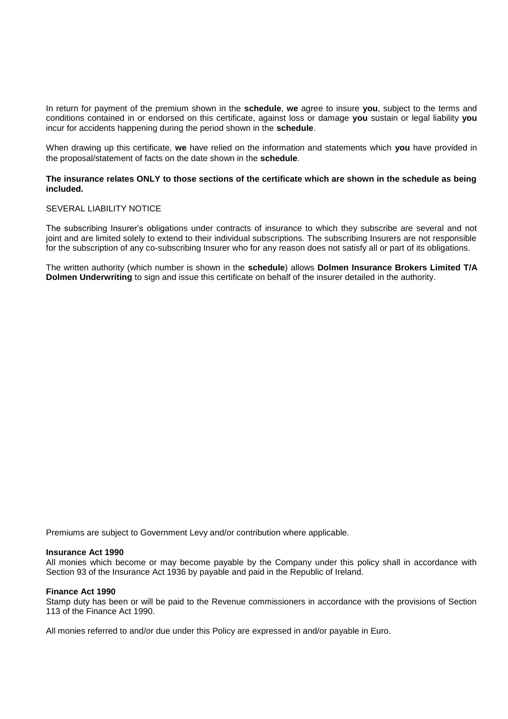In return for payment of the premium shown in the **schedule**, **we** agree to insure **you**, subject to the terms and conditions contained in or endorsed on this certificate, against loss or damage **you** sustain or legal liability **you** incur for accidents happening during the period shown in the **schedule**.

When drawing up this certificate, **we** have relied on the information and statements which **you** have provided in the proposal/statement of facts on the date shown in the **schedule**.

## **The insurance relates ONLY to those sections of the certificate which are shown in the schedule as being included.**

## SEVERAL LIABILITY NOTICE

The subscribing Insurer's obligations under contracts of insurance to which they subscribe are several and not joint and are limited solely to extend to their individual subscriptions. The subscribing Insurers are not responsible for the subscription of any co-subscribing Insurer who for any reason does not satisfy all or part of its obligations.

The written authority (which number is shown in the **schedule**) allows **Dolmen Insurance Brokers Limited T/A Dolmen Underwriting** to sign and issue this certificate on behalf of the insurer detailed in the authority.

Premiums are subject to Government Levy and/or contribution where applicable.

### **Insurance Act 1990**

All monies which become or may become payable by the Company under this policy shall in accordance with Section 93 of the Insurance Act 1936 by payable and paid in the Republic of Ireland.

### **Finance Act 1990**

Stamp duty has been or will be paid to the Revenue commissioners in accordance with the provisions of Section 113 of the Finance Act 1990.

All monies referred to and/or due under this Policy are expressed in and/or payable in Euro.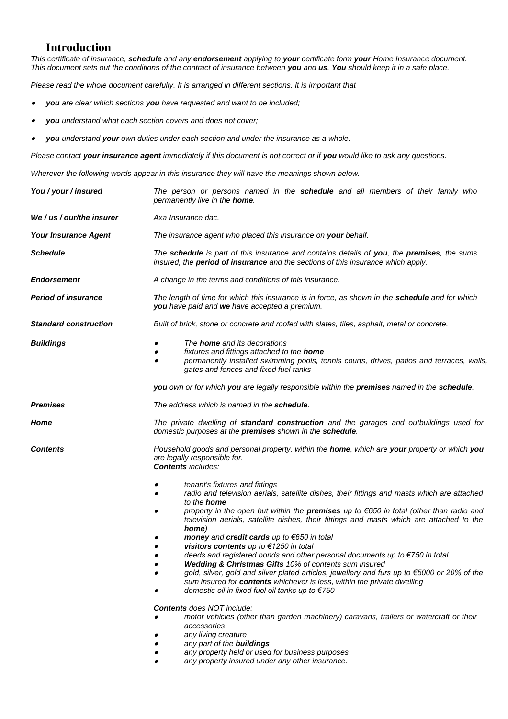## **Introduction**

*This certificate of insurance, schedule and any endorsement applying to your certificate form your Home Insurance document. This document sets out the conditions of the contract of insurance between you and us. You should keep it in a safe place.*

*Please read the whole document carefully. It is arranged in different sections. It is important that* 

- . *you are clear which sections you have requested and want to be included;*
- 0 *you understand what each section covers and does not cover;*
- $\bullet$ *you understand your own duties under each section and under the insurance as a whole.*

*Please contact your insurance agent immediately if this document is not correct or if you would like to ask any questions.*

*Wherever the following words appear in this insurance they will have the meanings shown below.*

| You / your / insured         | The person or persons named in the <b>schedule</b> and all members of their family who<br>permanently live in the <b>home</b> .                                                                                                                                                                                                                                                                                                                                                                                                                                                                                                                                                                                                                                                                                                                                                                                                                                                                                                                                                                                                           |  |  |
|------------------------------|-------------------------------------------------------------------------------------------------------------------------------------------------------------------------------------------------------------------------------------------------------------------------------------------------------------------------------------------------------------------------------------------------------------------------------------------------------------------------------------------------------------------------------------------------------------------------------------------------------------------------------------------------------------------------------------------------------------------------------------------------------------------------------------------------------------------------------------------------------------------------------------------------------------------------------------------------------------------------------------------------------------------------------------------------------------------------------------------------------------------------------------------|--|--|
| We / us / our/the insurer    | Axa Insurance dac.                                                                                                                                                                                                                                                                                                                                                                                                                                                                                                                                                                                                                                                                                                                                                                                                                                                                                                                                                                                                                                                                                                                        |  |  |
| <b>Your Insurance Agent</b>  | The insurance agent who placed this insurance on your behalf.                                                                                                                                                                                                                                                                                                                                                                                                                                                                                                                                                                                                                                                                                                                                                                                                                                                                                                                                                                                                                                                                             |  |  |
| <b>Schedule</b>              | The schedule is part of this insurance and contains details of you, the premises, the sums<br>insured, the <b>period of insurance</b> and the sections of this insurance which apply.                                                                                                                                                                                                                                                                                                                                                                                                                                                                                                                                                                                                                                                                                                                                                                                                                                                                                                                                                     |  |  |
| <b>Endorsement</b>           | A change in the terms and conditions of this insurance.                                                                                                                                                                                                                                                                                                                                                                                                                                                                                                                                                                                                                                                                                                                                                                                                                                                                                                                                                                                                                                                                                   |  |  |
| <b>Period of insurance</b>   | <b>The length of time for which this insurance is in force, as shown in the schedule and for which</b><br>you have paid and we have accepted a premium.                                                                                                                                                                                                                                                                                                                                                                                                                                                                                                                                                                                                                                                                                                                                                                                                                                                                                                                                                                                   |  |  |
| <b>Standard construction</b> | Built of brick, stone or concrete and roofed with slates, tiles, asphalt, metal or concrete.                                                                                                                                                                                                                                                                                                                                                                                                                                                                                                                                                                                                                                                                                                                                                                                                                                                                                                                                                                                                                                              |  |  |
| <b>Buildings</b>             | The <b>home</b> and its decorations<br>fixtures and fittings attached to the home<br>permanently installed swimming pools, tennis courts, drives, patios and terraces, walls,<br>gates and fences and fixed fuel tanks<br>you own or for which you are legally responsible within the premises named in the schedule.                                                                                                                                                                                                                                                                                                                                                                                                                                                                                                                                                                                                                                                                                                                                                                                                                     |  |  |
| <b>Premises</b>              | The address which is named in the <b>schedule</b> .                                                                                                                                                                                                                                                                                                                                                                                                                                                                                                                                                                                                                                                                                                                                                                                                                                                                                                                                                                                                                                                                                       |  |  |
| Home                         | The private dwelling of standard construction and the garages and outbuildings used for<br>domestic purposes at the premises shown in the schedule.                                                                                                                                                                                                                                                                                                                                                                                                                                                                                                                                                                                                                                                                                                                                                                                                                                                                                                                                                                                       |  |  |
| <b>Contents</b>              | Household goods and personal property, within the home, which are your property or which you<br>are legally responsible for.<br><b>Contents includes:</b>                                                                                                                                                                                                                                                                                                                                                                                                                                                                                                                                                                                                                                                                                                                                                                                                                                                                                                                                                                                 |  |  |
|                              | tenant's fixtures and fittings<br>radio and television aerials, satellite dishes, their fittings and masts which are attached<br>to the <b>home</b><br>property in the open but within the <b>premises</b> up to €650 in total (other than radio and<br>television aerials, satellite dishes, their fittings and masts which are attached to the<br>home)<br>money and credit cards up to €650 in total<br>visitors contents up to €1250 in total<br>deeds and registered bonds and other personal documents up to €750 in total<br><b>Wedding &amp; Christmas Gifts 10% of contents sum insured</b><br>gold, silver, gold and silver plated articles, jewellery and furs up to €5000 or 20% of the<br>sum insured for contents whichever is less, within the private dwelling<br>domestic oil in fixed fuel oil tanks up to €750<br><b>Contents</b> does NOT include:<br>motor vehicles (other than garden machinery) caravans, trailers or watercraft or their<br>accessories<br>any living creature<br>any part of the buildings<br>any property held or used for business purposes<br>any property insured under any other insurance. |  |  |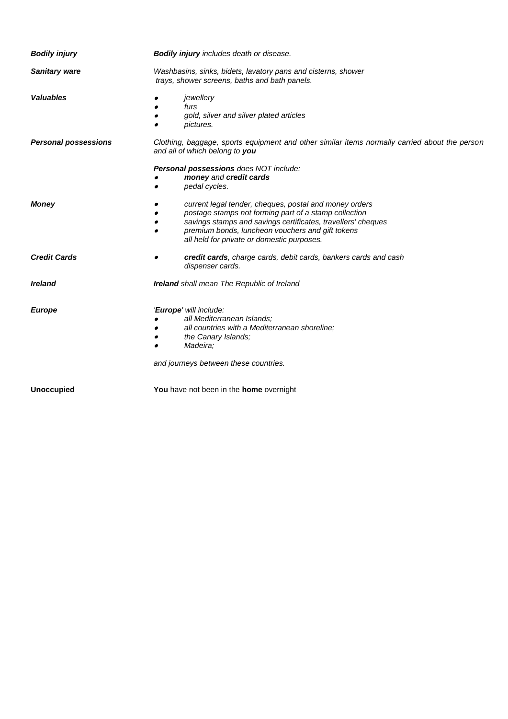| <b>Bodily injury</b>        | <b>Bodily injury</b> includes death or disease.                                                                                                                                                                                                                                                |  |  |
|-----------------------------|------------------------------------------------------------------------------------------------------------------------------------------------------------------------------------------------------------------------------------------------------------------------------------------------|--|--|
| <b>Sanitary ware</b>        | Washbasins, sinks, bidets, lavatory pans and cisterns, shower<br>trays, shower screens, baths and bath panels.                                                                                                                                                                                 |  |  |
| <b>Valuables</b>            | jewellery<br>furs<br>gold, silver and silver plated articles<br>pictures.<br>$\bullet$                                                                                                                                                                                                         |  |  |
| <b>Personal possessions</b> | Clothing, baggage, sports equipment and other similar items normally carried about the person<br>and all of which belong to you                                                                                                                                                                |  |  |
|                             | Personal possessions does NOT include:<br>money and credit cards<br>pedal cycles.                                                                                                                                                                                                              |  |  |
| <b>Money</b>                | current legal tender, cheques, postal and money orders<br>postage stamps not forming part of a stamp collection<br>savings stamps and savings certificates, travellers' cheques<br>premium bonds, luncheon vouchers and gift tokens<br>$\bullet$<br>all held for private or domestic purposes. |  |  |
| <b>Credit Cards</b>         | credit cards, charge cards, debit cards, bankers cards and cash<br>dispenser cards.                                                                                                                                                                                                            |  |  |
| <b>Ireland</b>              | <b>Ireland</b> shall mean The Republic of Ireland                                                                                                                                                                                                                                              |  |  |
| <b>Europe</b>               | 'Europe' will include:<br>all Mediterranean Islands;<br>all countries with a Mediterranean shoreline;<br>the Canary Islands;<br>Madeira:<br>$\bullet$<br>and journeys between these countries.                                                                                                 |  |  |
| <b>Unoccupied</b>           | You have not been in the home overnight                                                                                                                                                                                                                                                        |  |  |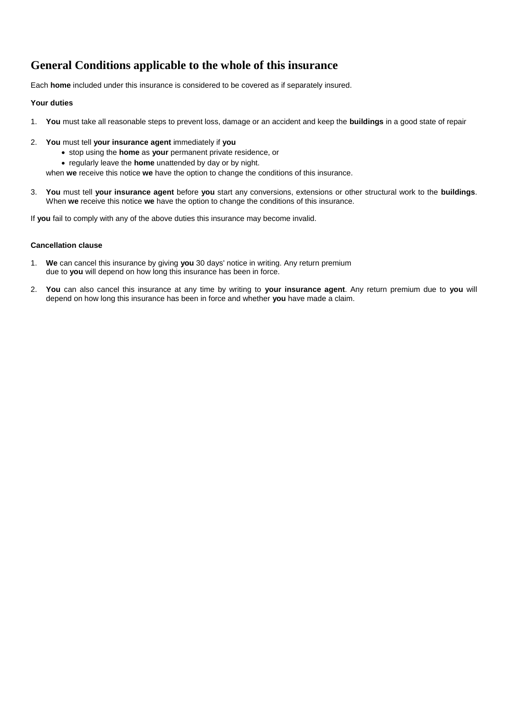## **General Conditions applicable to the whole of this insurance**

Each **home** included under this insurance is considered to be covered as if separately insured.

## **Your duties**

- 1. **You** must take all reasonable steps to prevent loss, damage or an accident and keep the **buildings** in a good state of repair
- 2. **You** must tell **your insurance agent** immediately if **you**
	- stop using the **home** as **your** permanent private residence, or
	- regularly leave the **home** unattended by day or by night.

when **we** receive this notice **we** have the option to change the conditions of this insurance.

3. **You** must tell **your insurance agent** before **you** start any conversions, extensions or other structural work to the **buildings**. When **we** receive this notice **we** have the option to change the conditions of this insurance.

If **you** fail to comply with any of the above duties this insurance may become invalid.

### **Cancellation clause**

- 1. **We** can cancel this insurance by giving **you** 30 days' notice in writing. Any return premium due to **you** will depend on how long this insurance has been in force.
- 2. **You** can also cancel this insurance at any time by writing to **your insurance agent**. Any return premium due to **you** will depend on how long this insurance has been in force and whether **you** have made a claim.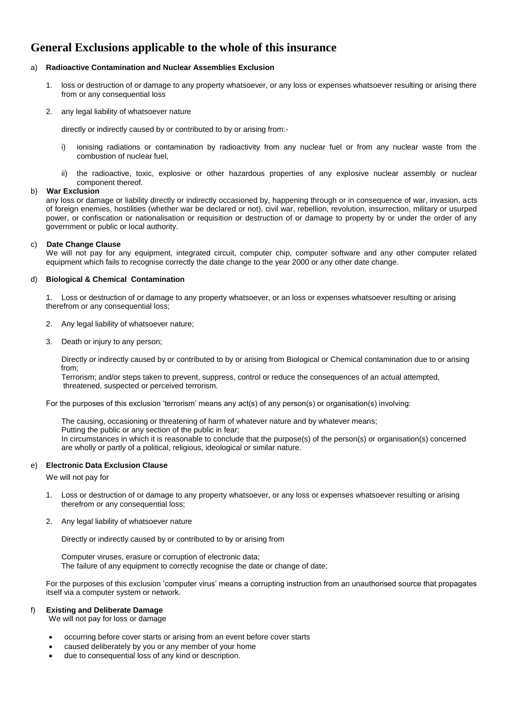## **General Exclusions applicable to the whole of this insurance**

### a) **Radioactive Contamination and Nuclear Assemblies Exclusion**

- 1. loss or destruction of or damage to any property whatsoever, or any loss or expenses whatsoever resulting or arising there from or any consequential loss
- 2. any legal liability of whatsoever nature

directly or indirectly caused by or contributed to by or arising from:-

- i) ionising radiations or contamination by radioactivity from any nuclear fuel or from any nuclear waste from the combustion of nuclear fuel,
- ii) the radioactive, toxic, explosive or other hazardous properties of any explosive nuclear assembly or nuclear component thereof.

### b) **War Exclusion**

any loss or damage or liability directly or indirectly occasioned by, happening through or in consequence of war, invasion, acts of foreign enemies, hostilities (whether war be declared or not), civil war, rebellion, revolution, insurrection, military or usurped power, or confiscation or nationalisation or requisition or destruction of or damage to property by or under the order of any government or public or local authority.

### c) **Date Change Clause**

We will not pay for any equipment, integrated circuit, computer chip, computer software and any other computer related equipment which fails to recognise correctly the date change to the year 2000 or any other date change.

### d) **Biological & Chemical Contamination**

1. Loss or destruction of or damage to any property whatsoever, or an loss or expenses whatsoever resulting or arising therefrom or any consequential loss;

- 2. Any legal liability of whatsoever nature;
- 3. Death or injury to any person;

Directly or indirectly caused by or contributed to by or arising from Biological or Chemical contamination due to or arising from;

Terrorism; and/or steps taken to prevent, suppress, control or reduce the consequences of an actual attempted, threatened, suspected or perceived terrorism.

For the purposes of this exclusion 'terrorism' means any act(s) of any person(s) or organisation(s) involving:

The causing, occasioning or threatening of harm of whatever nature and by whatever means; Putting the public or any section of the public in fear; In circumstances in which it is reasonable to conclude that the purpose(s) of the person(s) or organisation(s) concerned are wholly or partly of a political, religious, ideological or similar nature.

### e) **Electronic Data Exclusion Clause**

We will not pay for

- 1. Loss or destruction of or damage to any property whatsoever, or any loss or expenses whatsoever resulting or arising therefrom or any consequential loss;
- 2. Any legal liability of whatsoever nature

Directly or indirectly caused by or contributed to by or arising from

Computer viruses, erasure or corruption of electronic data; The failure of any equipment to correctly recognise the date or change of date;

For the purposes of this exclusion 'computer virus' means a corrupting instruction from an unauthorised source that propagates itself via a computer system or network.

### f) **Existing and Deliberate Damage**

We will not pay for loss or damage

- occurring before cover starts or arising from an event before cover starts
- caused deliberately by you or any member of your home
- due to consequential loss of any kind or description.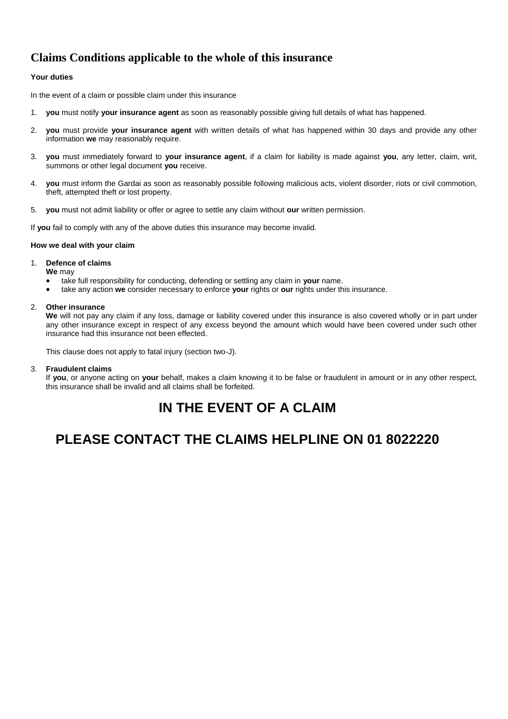## **Claims Conditions applicable to the whole of this insurance**

## **Your duties**

In the event of a claim or possible claim under this insurance

- 1. **you** must notify **your insurance agent** as soon as reasonably possible giving full details of what has happened.
- 2. **you** must provide **your insurance agent** with written details of what has happened within 30 days and provide any other information **we** may reasonably require.
- 3. **you** must immediately forward to **your insurance agent**, if a claim for liability is made against **you**, any letter, claim, writ, summons or other legal document **you** receive.
- 4. **you** must inform the Gardai as soon as reasonably possible following malicious acts, violent disorder, riots or civil commotion, theft, attempted theft or lost property.
- 5. **you** must not admit liability or offer or agree to settle any claim without **our** written permission.

If **you** fail to comply with any of the above duties this insurance may become invalid.

### **How we deal with your claim**

### 1. **Defence of claims**

**We** may

- take full responsibility for conducting, defending or settling any claim in **your** name.
- take any action **we** consider necessary to enforce **your** rights or **our** rights under this insurance.

### 2. **Other insurance**

**We** will not pay any claim if any loss, damage or liability covered under this insurance is also covered wholly or in part under any other insurance except in respect of any excess beyond the amount which would have been covered under such other insurance had this insurance not been effected.

This clause does not apply to fatal injury (section two-J).

### 3. **Fraudulent claims**

If **you**, or anyone acting on **your** behalf, makes a claim knowing it to be false or fraudulent in amount or in any other respect, this insurance shall be invalid and all claims shall be forfeited.

# **IN THE EVENT OF A CLAIM**

# **PLEASE CONTACT THE CLAIMS HELPLINE ON 01 8022220**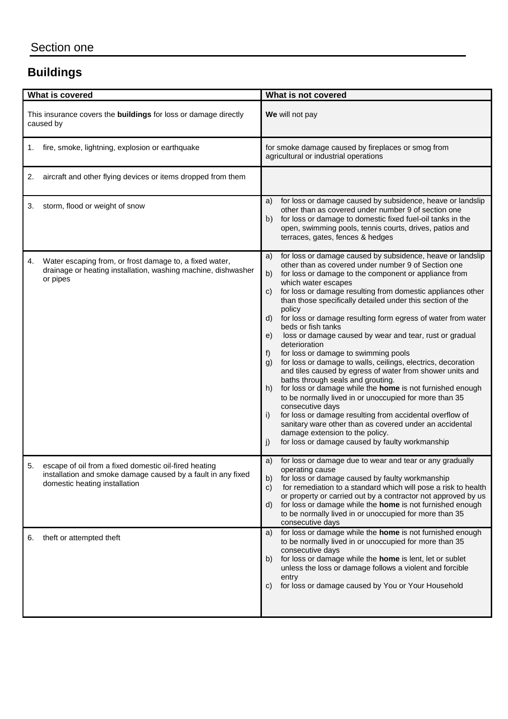# **Buildings**

| What is covered                                                                                                                                              | What is not covered                                                                                                                                                                                                                                                                                                                                                                                                                                                                                                                                                                                                                                                                                                                                                                                                                                                                                                                                                                                                                                                                                                                      |  |
|--------------------------------------------------------------------------------------------------------------------------------------------------------------|------------------------------------------------------------------------------------------------------------------------------------------------------------------------------------------------------------------------------------------------------------------------------------------------------------------------------------------------------------------------------------------------------------------------------------------------------------------------------------------------------------------------------------------------------------------------------------------------------------------------------------------------------------------------------------------------------------------------------------------------------------------------------------------------------------------------------------------------------------------------------------------------------------------------------------------------------------------------------------------------------------------------------------------------------------------------------------------------------------------------------------------|--|
| This insurance covers the <b>buildings</b> for loss or damage directly<br>caused by                                                                          | We will not pay                                                                                                                                                                                                                                                                                                                                                                                                                                                                                                                                                                                                                                                                                                                                                                                                                                                                                                                                                                                                                                                                                                                          |  |
| fire, smoke, lightning, explosion or earthquake<br>1.                                                                                                        | for smoke damage caused by fireplaces or smog from<br>agricultural or industrial operations                                                                                                                                                                                                                                                                                                                                                                                                                                                                                                                                                                                                                                                                                                                                                                                                                                                                                                                                                                                                                                              |  |
| aircraft and other flying devices or items dropped from them<br>2.                                                                                           |                                                                                                                                                                                                                                                                                                                                                                                                                                                                                                                                                                                                                                                                                                                                                                                                                                                                                                                                                                                                                                                                                                                                          |  |
| storm, flood or weight of snow<br>3.                                                                                                                         | for loss or damage caused by subsidence, heave or landslip<br>a)<br>other than as covered under number 9 of section one<br>for loss or damage to domestic fixed fuel-oil tanks in the<br>b)<br>open, swimming pools, tennis courts, drives, patios and<br>terraces, gates, fences & hedges                                                                                                                                                                                                                                                                                                                                                                                                                                                                                                                                                                                                                                                                                                                                                                                                                                               |  |
| Water escaping from, or frost damage to, a fixed water,<br>4.<br>drainage or heating installation, washing machine, dishwasher<br>or pipes                   | for loss or damage caused by subsidence, heave or landslip<br>a)<br>other than as covered under number 9 of Section one<br>for loss or damage to the component or appliance from<br>b)<br>which water escapes<br>for loss or damage resulting from domestic appliances other<br>C)<br>than those specifically detailed under this section of the<br>policy<br>for loss or damage resulting form egress of water from water<br>d)<br>beds or fish tanks<br>loss or damage caused by wear and tear, rust or gradual<br>e)<br>deterioration<br>for loss or damage to swimming pools<br>f)<br>for loss or damage to walls, ceilings, electrics, decoration<br>g)<br>and tiles caused by egress of water from shower units and<br>baths through seals and grouting.<br>for loss or damage while the home is not furnished enough<br>h)<br>to be normally lived in or unoccupied for more than 35<br>consecutive days<br>for loss or damage resulting from accidental overflow of<br>i)<br>sanitary ware other than as covered under an accidental<br>damage extension to the policy.<br>for loss or damage caused by faulty workmanship<br>j) |  |
| 5.<br>escape of oil from a fixed domestic oil-fired heating<br>installation and smoke damage caused by a fault in any fixed<br>domestic heating installation | for loss or damage due to wear and tear or any gradually<br>a)<br>operating cause<br>for loss or damage caused by faulty workmanship<br>b)<br>for remediation to a standard which will pose a risk to health<br>C)<br>or property or carried out by a contractor not approved by us<br>for loss or damage while the home is not furnished enough<br>d)<br>to be normally lived in or unoccupied for more than 35<br>consecutive days                                                                                                                                                                                                                                                                                                                                                                                                                                                                                                                                                                                                                                                                                                     |  |
| theft or attempted theft<br>6.                                                                                                                               | for loss or damage while the home is not furnished enough<br>a)<br>to be normally lived in or unoccupied for more than 35<br>consecutive days<br>for loss or damage while the home is lent, let or sublet<br>b)<br>unless the loss or damage follows a violent and forcible<br>entry<br>for loss or damage caused by You or Your Household<br>C)                                                                                                                                                                                                                                                                                                                                                                                                                                                                                                                                                                                                                                                                                                                                                                                         |  |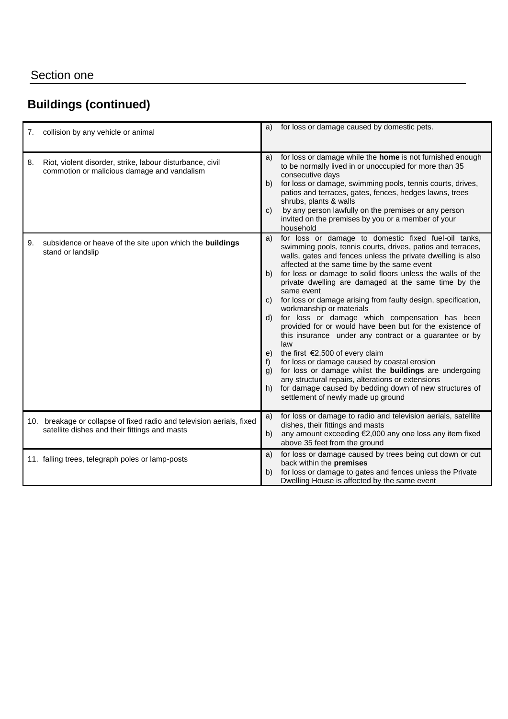# **Buildings (continued)**

| 7. | collision by any vehicle or animal                                                                                     | a)                                               | for loss or damage caused by domestic pets.                                                                                                                                                                                                                                                                                                                                                                                                                                                                                                                                                                                                                                                                                                                                                                                                                                                                                                                             |
|----|------------------------------------------------------------------------------------------------------------------------|--------------------------------------------------|-------------------------------------------------------------------------------------------------------------------------------------------------------------------------------------------------------------------------------------------------------------------------------------------------------------------------------------------------------------------------------------------------------------------------------------------------------------------------------------------------------------------------------------------------------------------------------------------------------------------------------------------------------------------------------------------------------------------------------------------------------------------------------------------------------------------------------------------------------------------------------------------------------------------------------------------------------------------------|
| 8. | Riot, violent disorder, strike, labour disturbance, civil<br>commotion or malicious damage and vandalism               | a)<br>b)<br>$\mathbf{C}$                         | for loss or damage while the home is not furnished enough<br>to be normally lived in or unoccupied for more than 35<br>consecutive days<br>for loss or damage, swimming pools, tennis courts, drives,<br>patios and terraces, gates, fences, hedges lawns, trees<br>shrubs, plants & walls<br>by any person lawfully on the premises or any person<br>invited on the premises by you or a member of your<br>household                                                                                                                                                                                                                                                                                                                                                                                                                                                                                                                                                   |
| 9. | subsidence or heave of the site upon which the buildings<br>stand or landslip                                          | a)<br>b)<br>d)<br>e)<br>f)<br>$\mathsf{q}$<br>h) | for loss or damage to domestic fixed fuel-oil tanks,<br>swimming pools, tennis courts, drives, patios and terraces,<br>walls, gates and fences unless the private dwelling is also<br>affected at the same time by the same event<br>for loss or damage to solid floors unless the walls of the<br>private dwelling are damaged at the same time by the<br>same event<br>c) for loss or damage arising from faulty design, specification,<br>workmanship or materials<br>for loss or damage which compensation has been<br>provided for or would have been but for the existence of<br>this insurance under any contract or a guarantee or by<br>law<br>the first $\epsilon$ 2,500 of every claim<br>for loss or damage caused by coastal erosion<br>for loss or damage whilst the <b>buildings</b> are undergoing<br>any structural repairs, alterations or extensions<br>for damage caused by bedding down of new structures of<br>settlement of newly made up ground |
|    | 10. breakage or collapse of fixed radio and television aerials, fixed<br>satellite dishes and their fittings and masts | a)<br>b)                                         | for loss or damage to radio and television aerials, satellite<br>dishes, their fittings and masts<br>any amount exceeding €2,000 any one loss any item fixed<br>above 35 feet from the ground                                                                                                                                                                                                                                                                                                                                                                                                                                                                                                                                                                                                                                                                                                                                                                           |
|    | 11. falling trees, telegraph poles or lamp-posts                                                                       | a)<br>b)                                         | for loss or damage caused by trees being cut down or cut<br>back within the premises<br>for loss or damage to gates and fences unless the Private<br>Dwelling House is affected by the same event                                                                                                                                                                                                                                                                                                                                                                                                                                                                                                                                                                                                                                                                                                                                                                       |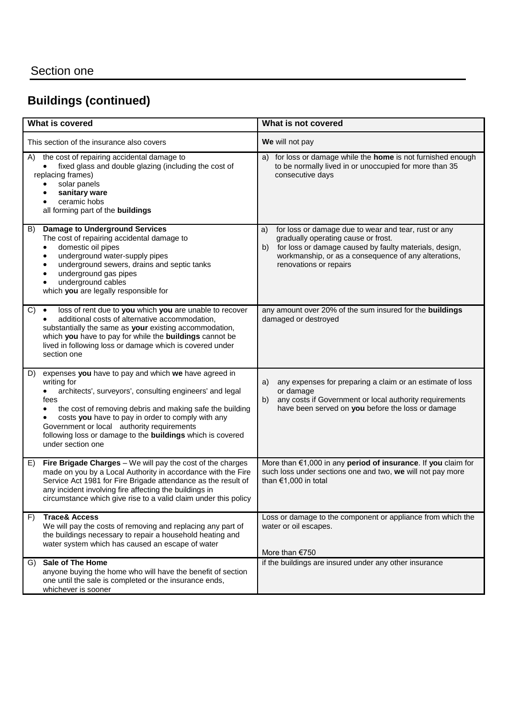# **Buildings (continued)**

| What is covered                                                                                                                                                                                                                                                                                                                                                                                                           | What is not covered                                                                                                                                                                                                                                 |
|---------------------------------------------------------------------------------------------------------------------------------------------------------------------------------------------------------------------------------------------------------------------------------------------------------------------------------------------------------------------------------------------------------------------------|-----------------------------------------------------------------------------------------------------------------------------------------------------------------------------------------------------------------------------------------------------|
| This section of the insurance also covers                                                                                                                                                                                                                                                                                                                                                                                 | We will not pay                                                                                                                                                                                                                                     |
| the cost of repairing accidental damage to<br>A)<br>fixed glass and double glazing (including the cost of<br>replacing frames)<br>solar panels<br>$\bullet$<br>sanitary ware<br>ceramic hobs<br>$\bullet$<br>all forming part of the buildings                                                                                                                                                                            | a) for loss or damage while the home is not furnished enough<br>to be normally lived in or unoccupied for more than 35<br>consecutive days                                                                                                          |
| <b>Damage to Underground Services</b><br>B)<br>The cost of repairing accidental damage to<br>domestic oil pipes<br>$\bullet$<br>underground water-supply pipes<br>$\bullet$<br>underground sewers, drains and septic tanks<br>٠<br>underground gas pipes<br>$\bullet$<br>underground cables<br>$\bullet$<br>which you are legally responsible for                                                                         | for loss or damage due to wear and tear, rust or any<br>a)<br>gradually operating cause or frost.<br>for loss or damage caused by faulty materials, design,<br>b)<br>workmanship, or as a consequence of any alterations,<br>renovations or repairs |
| loss of rent due to you which you are unable to recover<br>C)<br>$\bullet$<br>additional costs of alternative accommodation,<br>substantially the same as your existing accommodation,<br>which you have to pay for while the buildings cannot be<br>lived in following loss or damage which is covered under<br>section one                                                                                              | any amount over 20% of the sum insured for the buildings<br>damaged or destroyed                                                                                                                                                                    |
| expenses you have to pay and which we have agreed in<br>D)<br>writing for<br>architects', surveyors', consulting engineers' and legal<br>$\bullet$<br>fees<br>the cost of removing debris and making safe the building<br>$\bullet$<br>costs you have to pay in order to comply with any<br>Government or local authority requirements<br>following loss or damage to the buildings which is covered<br>under section one | any expenses for preparing a claim or an estimate of loss<br>a)<br>or damage<br>any costs if Government or local authority requirements<br>b)<br>have been served on you before the loss or damage                                                  |
| Fire Brigade Charges - We will pay the cost of the charges<br>E)<br>made on you by a Local Authority in accordance with the Fire<br>Service Act 1981 for Fire Brigade attendance as the result of<br>any incident involving fire affecting the buildings in<br>circumstance which give rise to a valid claim under this policy                                                                                            | More than €1,000 in any period of insurance. If you claim for<br>such loss under sections one and two, we will not pay more<br>than $€1,000$ in total                                                                                               |
| <b>Trace&amp; Access</b><br>F)<br>We will pay the costs of removing and replacing any part of<br>the buildings necessary to repair a household heating and<br>water system which has caused an escape of water                                                                                                                                                                                                            | Loss or damage to the component or appliance from which the<br>water or oil escapes.<br>More than €750                                                                                                                                              |
| Sale of The Home<br>G)<br>anyone buying the home who will have the benefit of section<br>one until the sale is completed or the insurance ends,<br>whichever is sooner                                                                                                                                                                                                                                                    | if the buildings are insured under any other insurance                                                                                                                                                                                              |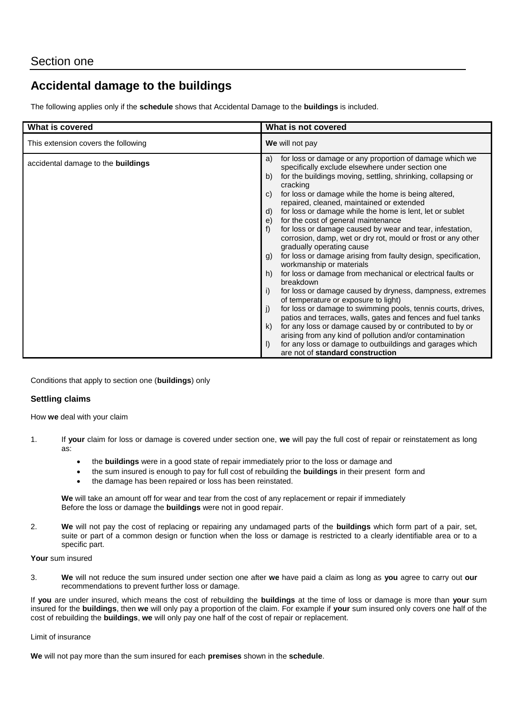## **Accidental damage to the buildings**

The following applies only if the **schedule** shows that Accidental Damage to the **buildings** is included.

| What is covered                           | What is not covered                                                                                                                                                                                                                                                                                                                                                                                                                                                                                                                                                                                                                                                                                                                                                                                                                                                                                                                                                                                                                                                                                                                                                                                                                                                          |  |
|-------------------------------------------|------------------------------------------------------------------------------------------------------------------------------------------------------------------------------------------------------------------------------------------------------------------------------------------------------------------------------------------------------------------------------------------------------------------------------------------------------------------------------------------------------------------------------------------------------------------------------------------------------------------------------------------------------------------------------------------------------------------------------------------------------------------------------------------------------------------------------------------------------------------------------------------------------------------------------------------------------------------------------------------------------------------------------------------------------------------------------------------------------------------------------------------------------------------------------------------------------------------------------------------------------------------------------|--|
| This extension covers the following       | We will not pay                                                                                                                                                                                                                                                                                                                                                                                                                                                                                                                                                                                                                                                                                                                                                                                                                                                                                                                                                                                                                                                                                                                                                                                                                                                              |  |
| accidental damage to the <b>buildings</b> | for loss or damage or any proportion of damage which we<br>a)<br>specifically exclude elsewhere under section one<br>for the buildings moving, settling, shrinking, collapsing or<br>b)<br>cracking<br>for loss or damage while the home is being altered,<br>C)<br>repaired, cleaned, maintained or extended<br>for loss or damage while the home is lent, let or sublet<br>d)<br>for the cost of general maintenance<br>e)<br>for loss or damage caused by wear and tear, infestation,<br>corrosion, damp, wet or dry rot, mould or frost or any other<br>gradually operating cause<br>for loss or damage arising from faulty design, specification,<br>g)<br>workmanship or materials<br>for loss or damage from mechanical or electrical faults or<br>h)<br>breakdown<br>for loss or damage caused by dryness, dampness, extremes<br>i)<br>of temperature or exposure to light)<br>for loss or damage to swimming pools, tennis courts, drives,<br>$\vert$ )<br>patios and terraces, walls, gates and fences and fuel tanks<br>for any loss or damage caused by or contributed to by or<br>k)<br>arising from any kind of pollution and/or contamination<br>for any loss or damage to outbuildings and garages which<br>$\mathbf{D}$<br>are not of standard construction |  |

Conditions that apply to section one (**buildings**) only

## **Settling claims**

How **we** deal with your claim

- 1. If **your** claim for loss or damage is covered under section one, **we** will pay the full cost of repair or reinstatement as long as:
	- the **buildings** were in a good state of repair immediately prior to the loss or damage and
	- the sum insured is enough to pay for full cost of rebuilding the **buildings** in their present form and
	- the damage has been repaired or loss has been reinstated.

**We** will take an amount off for wear and tear from the cost of any replacement or repair if immediately Before the loss or damage the **buildings** were not in good repair.

2. **We** will not pay the cost of replacing or repairing any undamaged parts of the **buildings** which form part of a pair, set, suite or part of a common design or function when the loss or damage is restricted to a clearly identifiable area or to a specific part.

### **Your** sum insured

3. **We** will not reduce the sum insured under section one after **we** have paid a claim as long as **you** agree to carry out **our** recommendations to prevent further loss or damage.

If **you** are under insured, which means the cost of rebuilding the **buildings** at the time of loss or damage is more than **your** sum insured for the **buildings**, then **we** will only pay a proportion of the claim. For example if **your** sum insured only covers one half of the cost of rebuilding the **buildings**, **we** will only pay one half of the cost of repair or replacement.

### Limit of insurance

**We** will not pay more than the sum insured for each **premises** shown in the **schedule**.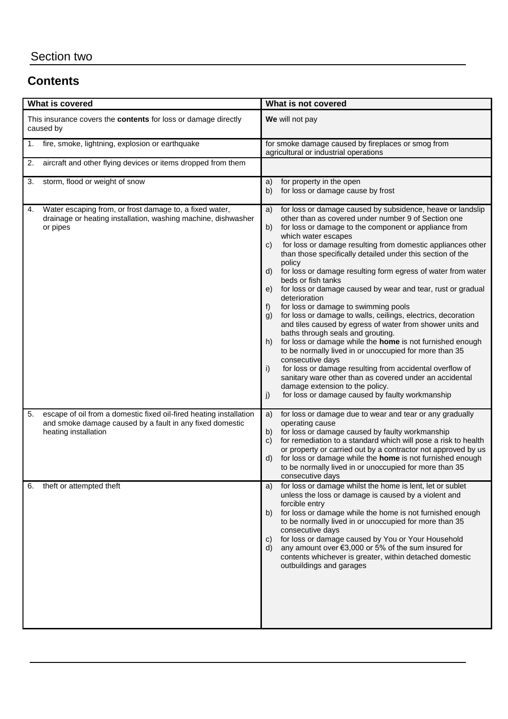# **Contents**

| What is covered                                                                                                                                              | What is not covered                                                                                                                                                                                                                                                                                                                                                                                                                                                                                                                                                                                                                                                                                                                                                                                                                                                                                                                                                                                                                                                                                                                          |
|--------------------------------------------------------------------------------------------------------------------------------------------------------------|----------------------------------------------------------------------------------------------------------------------------------------------------------------------------------------------------------------------------------------------------------------------------------------------------------------------------------------------------------------------------------------------------------------------------------------------------------------------------------------------------------------------------------------------------------------------------------------------------------------------------------------------------------------------------------------------------------------------------------------------------------------------------------------------------------------------------------------------------------------------------------------------------------------------------------------------------------------------------------------------------------------------------------------------------------------------------------------------------------------------------------------------|
| This insurance covers the contents for loss or damage directly<br>caused by                                                                                  | We will not pay                                                                                                                                                                                                                                                                                                                                                                                                                                                                                                                                                                                                                                                                                                                                                                                                                                                                                                                                                                                                                                                                                                                              |
| fire, smoke, lightning, explosion or earthquake<br>1.                                                                                                        | for smoke damage caused by fireplaces or smog from<br>agricultural or industrial operations                                                                                                                                                                                                                                                                                                                                                                                                                                                                                                                                                                                                                                                                                                                                                                                                                                                                                                                                                                                                                                                  |
| aircraft and other flying devices or items dropped from them<br>2.                                                                                           |                                                                                                                                                                                                                                                                                                                                                                                                                                                                                                                                                                                                                                                                                                                                                                                                                                                                                                                                                                                                                                                                                                                                              |
| storm, flood or weight of snow<br>3.                                                                                                                         | for property in the open<br>a)<br>for loss or damage cause by frost<br>b)                                                                                                                                                                                                                                                                                                                                                                                                                                                                                                                                                                                                                                                                                                                                                                                                                                                                                                                                                                                                                                                                    |
| Water escaping from, or frost damage to, a fixed water,<br>4.<br>drainage or heating installation, washing machine, dishwasher<br>or pipes                   | for loss or damage caused by subsidence, heave or landslip<br>a)<br>other than as covered under number 9 of Section one<br>b)<br>for loss or damage to the component or appliance from<br>which water escapes<br>for loss or damage resulting from domestic appliances other<br>C)<br>than those specifically detailed under this section of the<br>policy<br>for loss or damage resulting form egress of water from water<br>d)<br>beds or fish tanks<br>for loss or damage caused by wear and tear, rust or gradual<br>e)<br>deterioration<br>for loss or damage to swimming pools<br>f)<br>for loss or damage to walls, ceilings, electrics, decoration<br>g)<br>and tiles caused by egress of water from shower units and<br>baths through seals and grouting.<br>for loss or damage while the home is not furnished enough<br>h)<br>to be normally lived in or unoccupied for more than 35<br>consecutive days<br>for loss or damage resulting from accidental overflow of<br>i)<br>sanitary ware other than as covered under an accidental<br>damage extension to the policy.<br>for loss or damage caused by faulty workmanship<br>j) |
| escape of oil from a domestic fixed oil-fired heating installation<br>5.<br>and smoke damage caused by a fault in any fixed domestic<br>heating installation | for loss or damage due to wear and tear or any gradually<br>a)<br>operating cause<br>for loss or damage caused by faulty workmanship<br>b)<br>for remediation to a standard which will pose a risk to health<br>$\mathbf{C}$<br>or property or carried out by a contractor not approved by us<br>for loss or damage while the home is not furnished enough<br>d)<br>to be normally lived in or unoccupied for more than 35<br>consecutive days                                                                                                                                                                                                                                                                                                                                                                                                                                                                                                                                                                                                                                                                                               |
| theft or attempted theft<br>6.                                                                                                                               | for loss or damage whilst the home is lent, let or sublet<br>a)<br>unless the loss or damage is caused by a violent and<br>forcible entry<br>for loss or damage while the home is not furnished enough<br>b)<br>to be normally lived in or unoccupied for more than 35<br>consecutive days<br>for loss or damage caused by You or Your Household<br>C)<br>any amount over €3,000 or 5% of the sum insured for<br>d)<br>contents whichever is greater, within detached domestic<br>outbuildings and garages                                                                                                                                                                                                                                                                                                                                                                                                                                                                                                                                                                                                                                   |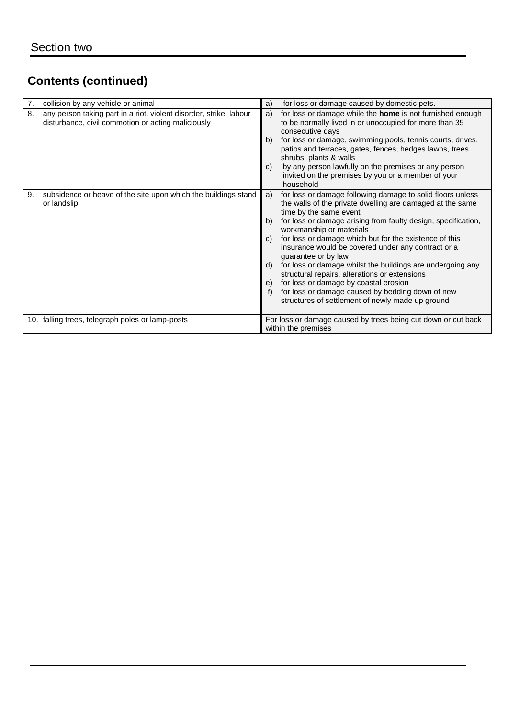| 7.                                               | collision by any vehicle or animal                                                                                       | a)                               | for loss or damage caused by domestic pets.                                                                                                                                                                                                                                                                                                                                                                                                                                                                                                                                                                                                           |
|--------------------------------------------------|--------------------------------------------------------------------------------------------------------------------------|----------------------------------|-------------------------------------------------------------------------------------------------------------------------------------------------------------------------------------------------------------------------------------------------------------------------------------------------------------------------------------------------------------------------------------------------------------------------------------------------------------------------------------------------------------------------------------------------------------------------------------------------------------------------------------------------------|
| 8.                                               | any person taking part in a riot, violent disorder, strike, labour<br>disturbance, civil commotion or acting maliciously | a)<br>b)<br>$\mathsf{C}$         | for loss or damage while the <b>home</b> is not furnished enough<br>to be normally lived in or unoccupied for more than 35<br>consecutive days<br>for loss or damage, swimming pools, tennis courts, drives,<br>patios and terraces, gates, fences, hedges lawns, trees<br>shrubs, plants & walls<br>by any person lawfully on the premises or any person<br>invited on the premises by you or a member of your<br>household                                                                                                                                                                                                                          |
| 9.                                               | subsidence or heave of the site upon which the buildings stand<br>or landslip                                            | a)<br>b)<br>C)<br>d)<br>e)<br>f) | for loss or damage following damage to solid floors unless<br>the walls of the private dwelling are damaged at the same<br>time by the same event<br>for loss or damage arising from faulty design, specification,<br>workmanship or materials<br>for loss or damage which but for the existence of this<br>insurance would be covered under any contract or a<br>guarantee or by law<br>for loss or damage whilst the buildings are undergoing any<br>structural repairs, alterations or extensions<br>for loss or damage by coastal erosion<br>for loss or damage caused by bedding down of new<br>structures of settlement of newly made up ground |
| 10. falling trees, telegraph poles or lamp-posts |                                                                                                                          |                                  | For loss or damage caused by trees being cut down or cut back<br>within the premises                                                                                                                                                                                                                                                                                                                                                                                                                                                                                                                                                                  |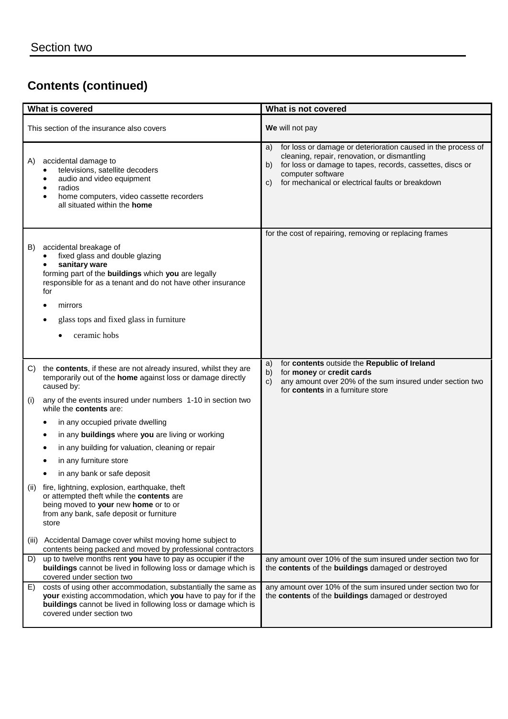| What is covered                           |                                                                                                                                                                                                                                                              | What is not covered                                                                                                                                                                                                                                                  |
|-------------------------------------------|--------------------------------------------------------------------------------------------------------------------------------------------------------------------------------------------------------------------------------------------------------------|----------------------------------------------------------------------------------------------------------------------------------------------------------------------------------------------------------------------------------------------------------------------|
| This section of the insurance also covers |                                                                                                                                                                                                                                                              | We will not pay                                                                                                                                                                                                                                                      |
| A)                                        | accidental damage to<br>televisions, satellite decoders<br>audio and video equipment<br>radios<br>home computers, video cassette recorders<br>all situated within the home                                                                                   | for loss or damage or deterioration caused in the process of<br>a)<br>cleaning, repair, renovation, or dismantling<br>for loss or damage to tapes, records, cassettes, discs or<br>b)<br>computer software<br>for mechanical or electrical faults or breakdown<br>C) |
|                                           |                                                                                                                                                                                                                                                              | for the cost of repairing, removing or replacing frames                                                                                                                                                                                                              |
| B)                                        | accidental breakage of<br>fixed glass and double glazing<br>sanitary ware<br>forming part of the buildings which you are legally<br>responsible for as a tenant and do not have other insurance<br>for<br>mirrors<br>glass tops and fixed glass in furniture |                                                                                                                                                                                                                                                                      |
|                                           | ceramic hobs                                                                                                                                                                                                                                                 |                                                                                                                                                                                                                                                                      |
|                                           |                                                                                                                                                                                                                                                              | for contents outside the Republic of Ireland<br>a)                                                                                                                                                                                                                   |
| C)<br>(i)                                 | the contents, if these are not already insured, whilst they are<br>temporarily out of the home against loss or damage directly<br>caused by:<br>any of the events insured under numbers 1-10 in section two<br>while the contents are:                       | for money or credit cards<br>b)<br>any amount over 20% of the sum insured under section two<br>$\mathbf{c}$<br>for contents in a furniture store                                                                                                                     |
|                                           | in any occupied private dwelling                                                                                                                                                                                                                             |                                                                                                                                                                                                                                                                      |
|                                           | in any buildings where you are living or working<br>٠                                                                                                                                                                                                        |                                                                                                                                                                                                                                                                      |
|                                           | in any building for valuation, cleaning or repair<br>٠                                                                                                                                                                                                       |                                                                                                                                                                                                                                                                      |
|                                           | in any furniture store                                                                                                                                                                                                                                       |                                                                                                                                                                                                                                                                      |
|                                           | in any bank or safe deposit                                                                                                                                                                                                                                  |                                                                                                                                                                                                                                                                      |
| (ii)                                      | fire, lightning, explosion, earthquake, theft<br>or attempted theft while the contents are<br>being moved to your new home or to or<br>from any bank, safe deposit or furniture<br>store                                                                     |                                                                                                                                                                                                                                                                      |
| (III)                                     | Accidental Damage cover whilst moving home subject to<br>contents being packed and moved by professional contractors                                                                                                                                         |                                                                                                                                                                                                                                                                      |
| D)                                        | up to twelve months rent you have to pay as occupier if the<br>buildings cannot be lived in following loss or damage which is<br>covered under section two                                                                                                   | any amount over 10% of the sum insured under section two for<br>the contents of the buildings damaged or destroyed                                                                                                                                                   |
| E)                                        | costs of using other accommodation, substantially the same as<br>your existing accommodation, which you have to pay for if the<br>buildings cannot be lived in following loss or damage which is<br>covered under section two                                | any amount over 10% of the sum insured under section two for<br>the contents of the buildings damaged or destroyed                                                                                                                                                   |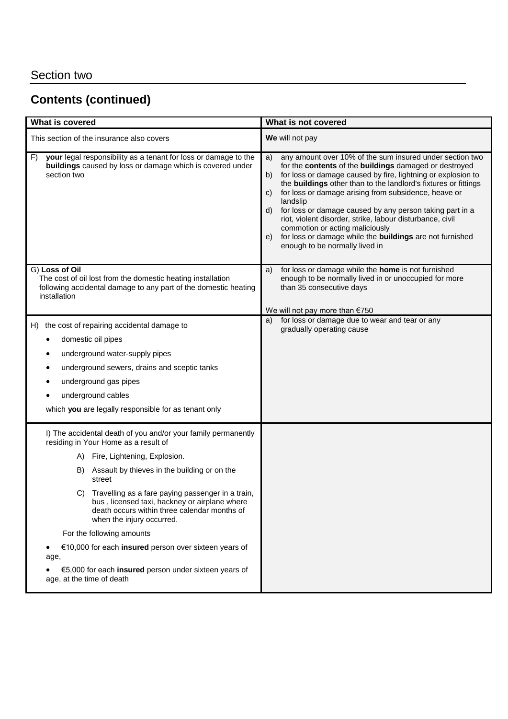| What is covered                                                                                                                                                                                                                                                                                                                                                                                                                                                                                                                                                                            | What is not covered                                                                                                                                                                                                                                                                                                                                                                                                                                                                                                                                                                                               |
|--------------------------------------------------------------------------------------------------------------------------------------------------------------------------------------------------------------------------------------------------------------------------------------------------------------------------------------------------------------------------------------------------------------------------------------------------------------------------------------------------------------------------------------------------------------------------------------------|-------------------------------------------------------------------------------------------------------------------------------------------------------------------------------------------------------------------------------------------------------------------------------------------------------------------------------------------------------------------------------------------------------------------------------------------------------------------------------------------------------------------------------------------------------------------------------------------------------------------|
| This section of the insurance also covers                                                                                                                                                                                                                                                                                                                                                                                                                                                                                                                                                  | We will not pay                                                                                                                                                                                                                                                                                                                                                                                                                                                                                                                                                                                                   |
| your legal responsibility as a tenant for loss or damage to the<br>F)<br>buildings caused by loss or damage which is covered under<br>section two                                                                                                                                                                                                                                                                                                                                                                                                                                          | any amount over 10% of the sum insured under section two<br>a)<br>for the contents of the buildings damaged or destroyed<br>for loss or damage caused by fire, lightning or explosion to<br>b)<br>the buildings other than to the landlord's fixtures or fittings<br>for loss or damage arising from subsidence, heave or<br>C)<br>landslip<br>for loss or damage caused by any person taking part in a<br>d)<br>riot, violent disorder, strike, labour disturbance, civil<br>commotion or acting maliciously<br>for loss or damage while the buildings are not furnished<br>e)<br>enough to be normally lived in |
| G) Loss of Oil<br>The cost of oil lost from the domestic heating installation<br>following accidental damage to any part of the domestic heating<br>installation                                                                                                                                                                                                                                                                                                                                                                                                                           | for loss or damage while the home is not furnished<br>a)<br>enough to be normally lived in or unoccupied for more<br>than 35 consecutive days                                                                                                                                                                                                                                                                                                                                                                                                                                                                     |
| H) the cost of repairing accidental damage to<br>domestic oil pipes<br>underground water-supply pipes<br>٠<br>underground sewers, drains and sceptic tanks<br>underground gas pipes<br>underground cables<br>which you are legally responsible for as tenant only                                                                                                                                                                                                                                                                                                                          | We will not pay more than €750<br>for loss or damage due to wear and tear or any<br>a)<br>gradually operating cause                                                                                                                                                                                                                                                                                                                                                                                                                                                                                               |
| I) The accidental death of you and/or your family permanently<br>residing in Your Home as a result of<br>A) Fire, Lightening, Explosion.<br>Assault by thieves in the building or on the<br>B)<br>street<br>Travelling as a fare paying passenger in a train,<br>C)<br>bus, licensed taxi, hackney or airplane where<br>death occurs within three calendar months of<br>when the injury occurred.<br>For the following amounts<br>€10,000 for each insured person over sixteen years of<br>٠<br>age,<br>€5,000 for each insured person under sixteen years of<br>age, at the time of death |                                                                                                                                                                                                                                                                                                                                                                                                                                                                                                                                                                                                                   |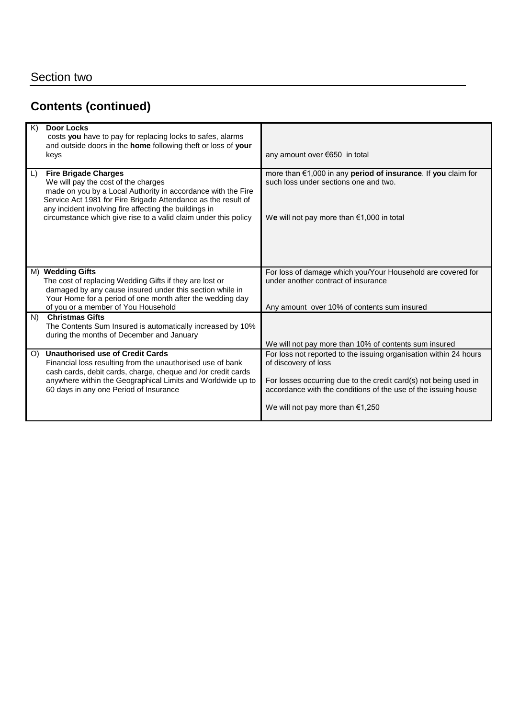| K)     | <b>Door Locks</b><br>costs you have to pay for replacing locks to safes, alarms<br>and outside doors in the home following theft or loss of your<br>keys                                                                                                                                                                         | any amount over €650 in total                                                                                                                                                                                                   |
|--------|----------------------------------------------------------------------------------------------------------------------------------------------------------------------------------------------------------------------------------------------------------------------------------------------------------------------------------|---------------------------------------------------------------------------------------------------------------------------------------------------------------------------------------------------------------------------------|
| $\Box$ | <b>Fire Brigade Charges</b><br>We will pay the cost of the charges<br>made on you by a Local Authority in accordance with the Fire<br>Service Act 1981 for Fire Brigade Attendance as the result of<br>any incident involving fire affecting the buildings in<br>circumstance which give rise to a valid claim under this policy | more than €1,000 in any period of insurance. If you claim for<br>such loss under sections one and two.<br>We will not pay more than $€1,000$ in total                                                                           |
|        | M) Wedding Gifts<br>The cost of replacing Wedding Gifts if they are lost or                                                                                                                                                                                                                                                      | For loss of damage which you/Your Household are covered for<br>under another contract of insurance                                                                                                                              |
|        | damaged by any cause insured under this section while in                                                                                                                                                                                                                                                                         |                                                                                                                                                                                                                                 |
|        | Your Home for a period of one month after the wedding day<br>of you or a member of You Household                                                                                                                                                                                                                                 | Any amount over 10% of contents sum insured                                                                                                                                                                                     |
| N)     | <b>Christmas Gifts</b><br>The Contents Sum Insured is automatically increased by 10%<br>during the months of December and January                                                                                                                                                                                                | We will not pay more than 10% of contents sum insured                                                                                                                                                                           |
| O)     | <b>Unauthorised use of Credit Cards</b><br>Financial loss resulting from the unauthorised use of bank<br>cash cards, debit cards, charge, cheque and /or credit cards<br>anywhere within the Geographical Limits and Worldwide up to<br>60 days in any one Period of Insurance                                                   | For loss not reported to the issuing organisation within 24 hours<br>of discovery of loss<br>For losses occurring due to the credit card(s) not being used in<br>accordance with the conditions of the use of the issuing house |
|        |                                                                                                                                                                                                                                                                                                                                  | We will not pay more than $€1,250$                                                                                                                                                                                              |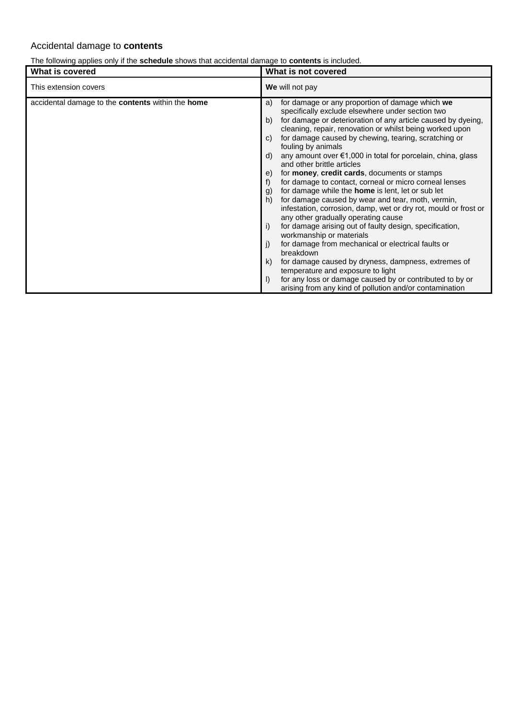## Accidental damage to **contents**

## The following applies only if the **schedule** shows that accidental damage to **contents** is included.

| What is covered                                                 | What is not covered                                                                                                                                                                                                                                                                                                                                                                                                                                                                                                                                                                                                                                                                                                                                                                                                                                                                                                                                                                                                                                                                                                                                                                                                            |  |
|-----------------------------------------------------------------|--------------------------------------------------------------------------------------------------------------------------------------------------------------------------------------------------------------------------------------------------------------------------------------------------------------------------------------------------------------------------------------------------------------------------------------------------------------------------------------------------------------------------------------------------------------------------------------------------------------------------------------------------------------------------------------------------------------------------------------------------------------------------------------------------------------------------------------------------------------------------------------------------------------------------------------------------------------------------------------------------------------------------------------------------------------------------------------------------------------------------------------------------------------------------------------------------------------------------------|--|
| This extension covers                                           | We will not pay                                                                                                                                                                                                                                                                                                                                                                                                                                                                                                                                                                                                                                                                                                                                                                                                                                                                                                                                                                                                                                                                                                                                                                                                                |  |
| accidental damage to the <b>contents</b> within the <b>home</b> | for damage or any proportion of damage which we<br>a)<br>specifically exclude elsewhere under section two<br>for damage or deterioration of any article caused by dyeing,<br>b)<br>cleaning, repair, renovation or whilst being worked upon<br>for damage caused by chewing, tearing, scratching or<br>C)<br>fouling by animals<br>any amount over €1,000 in total for porcelain, china, glass<br>d)<br>and other brittle articles<br>for <b>money</b> , <b>credit cards</b> , documents or stamps<br>e)<br>for damage to contact, corneal or micro corneal lenses<br>f)<br>for damage while the <b>home</b> is lent, let or sub let<br>g)<br>for damage caused by wear and tear, moth, vermin,<br>h)<br>infestation, corrosion, damp, wet or dry rot, mould or frost or<br>any other gradually operating cause<br>for damage arising out of faulty design, specification,<br>i)<br>workmanship or materials<br>for damage from mechanical or electrical faults or<br>j)<br>breakdown<br>for damage caused by dryness, dampness, extremes of<br>k)<br>temperature and exposure to light<br>for any loss or damage caused by or contributed to by or<br>$\mathsf{I}$<br>arising from any kind of pollution and/or contamination |  |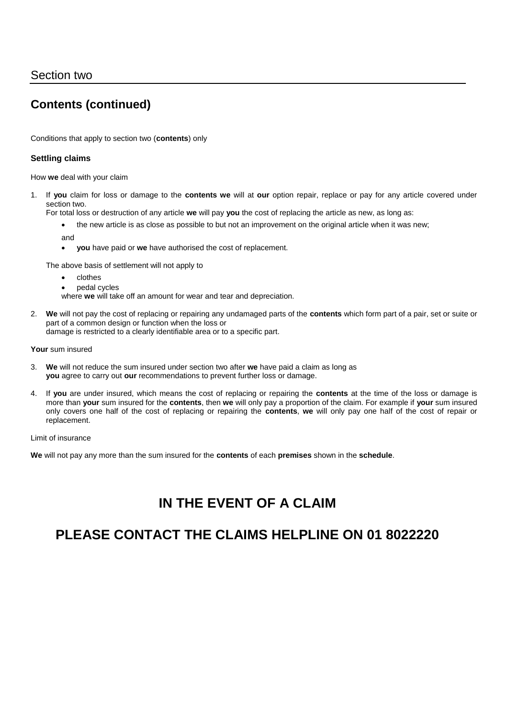Conditions that apply to section two (**contents**) only

## **Settling claims**

How **we** deal with your claim

1. If **you** claim for loss or damage to the **contents we** will at **our** option repair, replace or pay for any article covered under section two.

For total loss or destruction of any article **we** will pay **you** the cost of replacing the article as new, as long as:

- the new article is as close as possible to but not an improvement on the original article when it was new;
- and
- **you** have paid or **we** have authorised the cost of replacement.

The above basis of settlement will not apply to

- clothes
- pedal cycles
- where **we** will take off an amount for wear and tear and depreciation.
- 2. **We** will not pay the cost of replacing or repairing any undamaged parts of the **contents** which form part of a pair, set or suite or part of a common design or function when the loss or damage is restricted to a clearly identifiable area or to a specific part.

**Your** sum insured

- 3. **We** will not reduce the sum insured under section two after **we** have paid a claim as long as **you** agree to carry out **our** recommendations to prevent further loss or damage.
- 4. If **you** are under insured, which means the cost of replacing or repairing the **contents** at the time of the loss or damage is more than **your** sum insured for the **contents**, then **we** will only pay a proportion of the claim. For example if **your** sum insured only covers one half of the cost of replacing or repairing the **contents**, **we** will only pay one half of the cost of repair or replacement.

Limit of insurance

**We** will not pay any more than the sum insured for the **contents** of each **premises** shown in the **schedule**.

# **IN THE EVENT OF A CLAIM**

# **PLEASE CONTACT THE CLAIMS HELPLINE ON 01 8022220**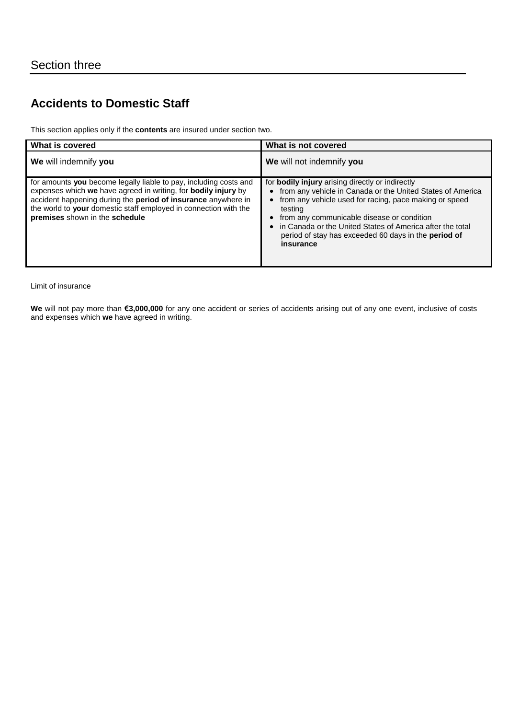# **Accidents to Domestic Staff**

This section applies only if the **contents** are insured under section two.

| What is covered                                                                                                                                                                                                                                                                                            | What is not covered                                                                                                                                                                                                                                                                                                                                                                     |
|------------------------------------------------------------------------------------------------------------------------------------------------------------------------------------------------------------------------------------------------------------------------------------------------------------|-----------------------------------------------------------------------------------------------------------------------------------------------------------------------------------------------------------------------------------------------------------------------------------------------------------------------------------------------------------------------------------------|
| We will indemnify you                                                                                                                                                                                                                                                                                      | We will not indemnify you                                                                                                                                                                                                                                                                                                                                                               |
| for amounts you become legally liable to pay, including costs and<br>expenses which we have agreed in writing, for bodily injury by<br>accident happening during the period of insurance anywhere in<br>the world to your domestic staff employed in connection with the<br>premises shown in the schedule | for bodily injury arising directly or indirectly<br>from any vehicle in Canada or the United States of America<br>$\bullet$<br>from any vehicle used for racing, pace making or speed<br>testing<br>from any communicable disease or condition<br>in Canada or the United States of America after the total<br>period of stay has exceeded 60 days in the <b>period of</b><br>insurance |

Limit of insurance

**We** will not pay more than **€3,000,000** for any one accident or series of accidents arising out of any one event, inclusive of costs and expenses which **we** have agreed in writing.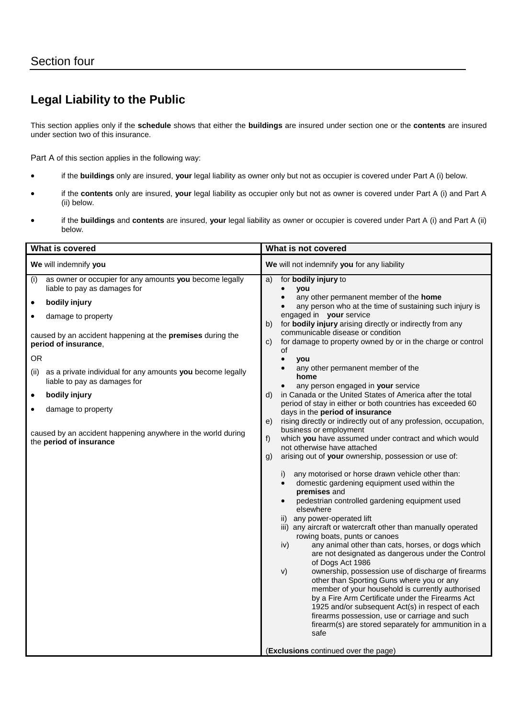# **Legal Liability to the Public**

This section applies only if the **schedule** shows that either the **buildings** are insured under section one or the **contents** are insured under section two of this insurance.

Part A of this section applies in the following way:

- if the **buildings** only are insured, **your** legal liability as owner only but not as occupier is covered under Part A (i) below.
- if the **contents** only are insured, **your** legal liability as occupier only but not as owner is covered under Part A (i) and Part A (ii) below.
- if the **buildings** and **contents** are insured, **your** legal liability as owner or occupier is covered under Part A (i) and Part A (ii) below.

| What is covered                                                                                                                                                                                                                                                                                                                                                                                                                                                                                    | What is not covered                                                                                                                                                                                                                                                                                                                                                                                                                                                                                                                                                                                                                                                                                                                                                                                                                                                                                                                                                                                                                                                                                                                                                                                                                                                                                                                                                                                                                                                                                                                                                                                                                                                                                                                                                        |
|----------------------------------------------------------------------------------------------------------------------------------------------------------------------------------------------------------------------------------------------------------------------------------------------------------------------------------------------------------------------------------------------------------------------------------------------------------------------------------------------------|----------------------------------------------------------------------------------------------------------------------------------------------------------------------------------------------------------------------------------------------------------------------------------------------------------------------------------------------------------------------------------------------------------------------------------------------------------------------------------------------------------------------------------------------------------------------------------------------------------------------------------------------------------------------------------------------------------------------------------------------------------------------------------------------------------------------------------------------------------------------------------------------------------------------------------------------------------------------------------------------------------------------------------------------------------------------------------------------------------------------------------------------------------------------------------------------------------------------------------------------------------------------------------------------------------------------------------------------------------------------------------------------------------------------------------------------------------------------------------------------------------------------------------------------------------------------------------------------------------------------------------------------------------------------------------------------------------------------------------------------------------------------------|
| We will indemnify you                                                                                                                                                                                                                                                                                                                                                                                                                                                                              | We will not indemnify you for any liability                                                                                                                                                                                                                                                                                                                                                                                                                                                                                                                                                                                                                                                                                                                                                                                                                                                                                                                                                                                                                                                                                                                                                                                                                                                                                                                                                                                                                                                                                                                                                                                                                                                                                                                                |
| as owner or occupier for any amounts you become legally<br>(i)<br>liable to pay as damages for<br>bodily injury<br>$\bullet$<br>damage to property<br>caused by an accident happening at the premises during the<br>period of insurance,<br><b>OR</b><br>as a private individual for any amounts you become legally<br>(ii)<br>liable to pay as damages for<br>bodily injury<br>٠<br>damage to property<br>caused by an accident happening anywhere in the world during<br>the period of insurance | for <b>bodily injury</b> to<br>a)<br>you<br>any other permanent member of the home<br>any person who at the time of sustaining such injury is<br>$\bullet$<br>engaged in your service<br>for bodily injury arising directly or indirectly from any<br>b)<br>communicable disease or condition<br>for damage to property owned by or in the charge or control<br>C)<br>οf<br>$\bullet$<br>you<br>any other permanent member of the<br>home<br>any person engaged in your service<br>in Canada or the United States of America after the total<br>d)<br>period of stay in either or both countries has exceeded 60<br>days in the period of insurance<br>rising directly or indirectly out of any profession, occupation,<br>e)<br>business or employment<br>$f$ )<br>which you have assumed under contract and which would<br>not otherwise have attached<br>arising out of your ownership, possession or use of:<br>g)<br>any motorised or horse drawn vehicle other than:<br>i)<br>domestic gardening equipment used within the<br>premises and<br>pedestrian controlled gardening equipment used<br>elsewhere<br>ii) any power-operated lift<br>iii) any aircraft or watercraft other than manually operated<br>rowing boats, punts or canoes<br>any animal other than cats, horses, or dogs which<br>iv)<br>are not designated as dangerous under the Control<br>of Dogs Act 1986<br>ownership, possession use of discharge of firearms<br>V)<br>other than Sporting Guns where you or any<br>member of your household is currently authorised<br>by a Fire Arm Certificate under the Firearms Act<br>1925 and/or subsequent Act(s) in respect of each<br>firearms possession, use or carriage and such<br>firearm(s) are stored separately for ammunition in a<br>safe |
|                                                                                                                                                                                                                                                                                                                                                                                                                                                                                                    | (Exclusions continued over the page)                                                                                                                                                                                                                                                                                                                                                                                                                                                                                                                                                                                                                                                                                                                                                                                                                                                                                                                                                                                                                                                                                                                                                                                                                                                                                                                                                                                                                                                                                                                                                                                                                                                                                                                                       |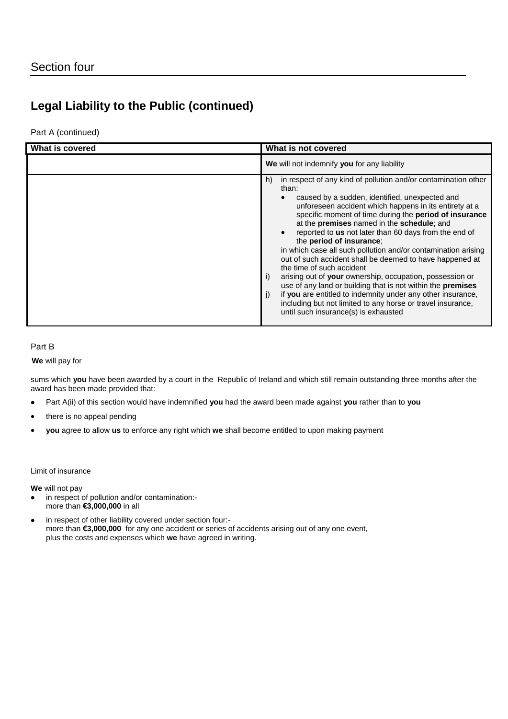# **Legal Liability to the Public (continued)**

Part A (continued)

| What is covered | What is not covered                                                                                                                                                                                                                                                                                                                                                                                                                                                                                                                                                                                                                                                                                                                                                                                                                                                         |
|-----------------|-----------------------------------------------------------------------------------------------------------------------------------------------------------------------------------------------------------------------------------------------------------------------------------------------------------------------------------------------------------------------------------------------------------------------------------------------------------------------------------------------------------------------------------------------------------------------------------------------------------------------------------------------------------------------------------------------------------------------------------------------------------------------------------------------------------------------------------------------------------------------------|
|                 | We will not indemnify you for any liability                                                                                                                                                                                                                                                                                                                                                                                                                                                                                                                                                                                                                                                                                                                                                                                                                                 |
|                 | in respect of any kind of pollution and/or contamination other<br>h)<br>than:<br>caused by a sudden, identified, unexpected and<br>unforeseen accident which happens in its entirety at a<br>specific moment of time during the period of insurance<br>at the premises named in the schedule; and<br>reported to <b>us</b> not later than 60 days from the end of<br>the period of insurance;<br>in which case all such pollution and/or contamination arising<br>out of such accident shall be deemed to have happened at<br>the time of such accident<br>arising out of your ownership, occupation, possession or<br>i)<br>use of any land or building that is not within the <b>premises</b><br>if you are entitled to indemnity under any other insurance,<br>J)<br>including but not limited to any horse or travel insurance,<br>until such insurance(s) is exhausted |

## Part B

**We** will pay for

sums which **you** have been awarded by a court in the Republic of Ireland and which still remain outstanding three months after the award has been made provided that:

- Part A(ii) of this section would have indemnified **you** had the award been made against **you** rather than to **you**
- there is no appeal pending
- **you** agree to allow **us** to enforce any right which **we** shall become entitled to upon making payment

Limit of insurance

**We** will not pay

- in respect of pollution and/or contamination: more than **€3,000,000** in all
- in respect of other liability covered under section four: more than **€3,000,000** for any one accident or series of accidents arising out of any one event, plus the costs and expenses which **we** have agreed in writing.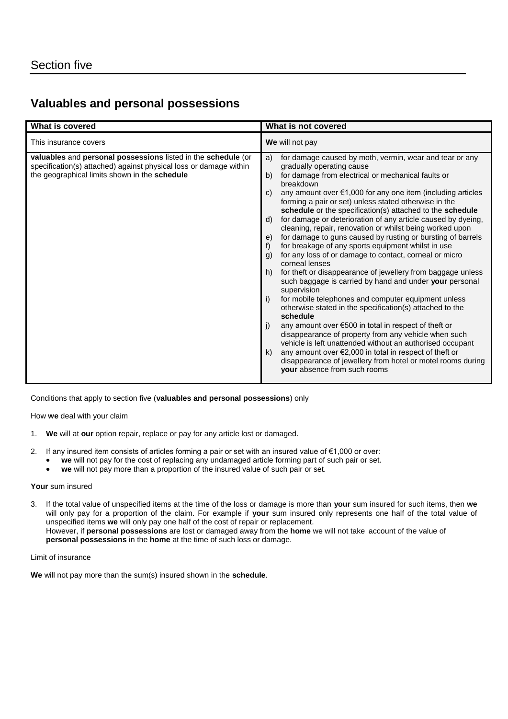## **Valuables and personal possessions**

| What is covered                                                                                                                                                                     | What is not covered                                                                                                                                                                                                                                                                                                                                                                                                                                                                                                                                                                                                                                                                                                                                                                                                                                                                                                                                                                                                                                                                                                                                                                                                                                                                                                                                                 |
|-------------------------------------------------------------------------------------------------------------------------------------------------------------------------------------|---------------------------------------------------------------------------------------------------------------------------------------------------------------------------------------------------------------------------------------------------------------------------------------------------------------------------------------------------------------------------------------------------------------------------------------------------------------------------------------------------------------------------------------------------------------------------------------------------------------------------------------------------------------------------------------------------------------------------------------------------------------------------------------------------------------------------------------------------------------------------------------------------------------------------------------------------------------------------------------------------------------------------------------------------------------------------------------------------------------------------------------------------------------------------------------------------------------------------------------------------------------------------------------------------------------------------------------------------------------------|
| This insurance covers                                                                                                                                                               | We will not pay                                                                                                                                                                                                                                                                                                                                                                                                                                                                                                                                                                                                                                                                                                                                                                                                                                                                                                                                                                                                                                                                                                                                                                                                                                                                                                                                                     |
| valuables and personal possessions listed in the schedule (or<br>specification(s) attached) against physical loss or damage within<br>the geographical limits shown in the schedule | for damage caused by moth, vermin, wear and tear or any<br>a)<br>gradually operating cause<br>for damage from electrical or mechanical faults or<br>b)<br>breakdown<br>any amount over €1,000 for any one item (including articles<br>C)<br>forming a pair or set) unless stated otherwise in the<br>schedule or the specification(s) attached to the schedule<br>for damage or deterioration of any article caused by dyeing,<br>d)<br>cleaning, repair, renovation or whilst being worked upon<br>for damage to guns caused by rusting or bursting of barrels<br>e)<br>for breakage of any sports equipment whilst in use<br>f)<br>for any loss of or damage to contact, corneal or micro<br>g)<br>corneal lenses<br>for theft or disappearance of jewellery from baggage unless<br>h)<br>such baggage is carried by hand and under your personal<br>supervision<br>for mobile telephones and computer equipment unless<br>i)<br>otherwise stated in the specification(s) attached to the<br>schedule<br>any amount over €500 in total in respect of theft or<br>j)<br>disappearance of property from any vehicle when such<br>vehicle is left unattended without an authorised occupant<br>any amount over $\epsilon$ 2,000 in total in respect of theft or<br>k)<br>disappearance of jewellery from hotel or motel rooms during<br>your absence from such rooms |

Conditions that apply to section five (**valuables and personal possessions**) only

How **we** deal with your claim

- 1. **We** will at **our** option repair, replace or pay for any article lost or damaged.
- 2. If any insured item consists of articles forming a pair or set with an insured value of €1,000 or over:
	- **we** will not pay for the cost of replacing any undamaged article forming part of such pair or set.
	- **we** will not pay more than a proportion of the insured value of such pair or set.

### **Your** sum insured

3. If the total value of unspecified items at the time of the loss or damage is more than **your** sum insured for such items, then **we** will only pay for a proportion of the claim. For example if **your** sum insured only represents one half of the total value of unspecified items **we** will only pay one half of the cost of repair or replacement. However, if **personal possessions** are lost or damaged away from the **home** we will not take account of the value of **personal possessions** in the **home** at the time of such loss or damage.

### Limit of insurance

**We** will not pay more than the sum(s) insured shown in the **schedule**.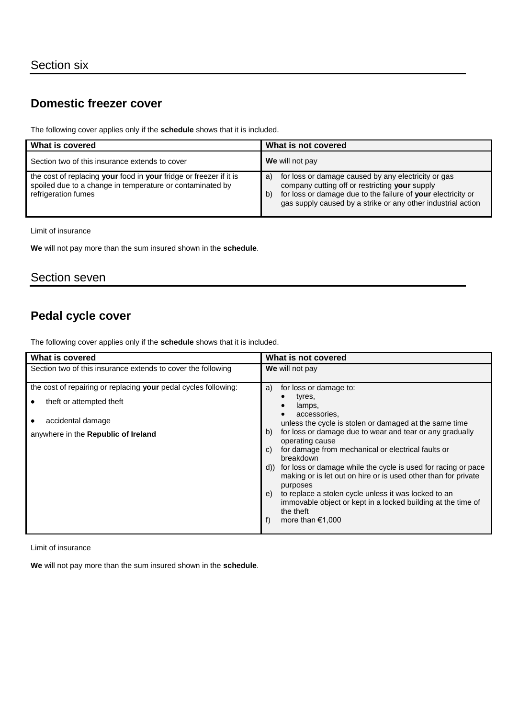## **Domestic freezer cover**

The following cover applies only if the **schedule** shows that it is included.

| What is covered                                                                                                                                        | What is not covered                                                                                                                                                                                                                               |
|--------------------------------------------------------------------------------------------------------------------------------------------------------|---------------------------------------------------------------------------------------------------------------------------------------------------------------------------------------------------------------------------------------------------|
| Section two of this insurance extends to cover                                                                                                         | We will not pay                                                                                                                                                                                                                                   |
| the cost of replacing your food in your fridge or freezer if it is<br>spoiled due to a change in temperature or contaminated by<br>refrigeration fumes | for loss or damage caused by any electricity or gas<br>a)<br>company cutting off or restricting your supply<br>for loss or damage due to the failure of your electricity or<br>b)<br>gas supply caused by a strike or any other industrial action |

Limit of insurance

**We** will not pay more than the sum insured shown in the **schedule**.

## Section seven

# **Pedal cycle cover**

The following cover applies only if the **schedule** shows that it is included.

| What is covered                                                                                                                                         | What is not covered                                                                                                                                                                                                                                                                                                                                                                                                                                                                                                                                                                                                  |
|---------------------------------------------------------------------------------------------------------------------------------------------------------|----------------------------------------------------------------------------------------------------------------------------------------------------------------------------------------------------------------------------------------------------------------------------------------------------------------------------------------------------------------------------------------------------------------------------------------------------------------------------------------------------------------------------------------------------------------------------------------------------------------------|
| Section two of this insurance extends to cover the following                                                                                            | We will not pay                                                                                                                                                                                                                                                                                                                                                                                                                                                                                                                                                                                                      |
| the cost of repairing or replacing your pedal cycles following:<br>theft or attempted theft<br>accidental damage<br>anywhere in the Republic of Ireland | for loss or damage to:<br>a)<br>tyres,<br>lamps,<br>accessories.<br>unless the cycle is stolen or damaged at the same time<br>for loss or damage due to wear and tear or any gradually<br>b)<br>operating cause<br>for damage from mechanical or electrical faults or<br>C)<br>breakdown<br>for loss or damage while the cycle is used for racing or pace<br>d)<br>making or is let out on hire or is used other than for private<br>purposes<br>to replace a stolen cycle unless it was locked to an<br>e)<br>immovable object or kept in a locked building at the time of<br>the theft<br>more than $€1,000$<br>f) |
|                                                                                                                                                         |                                                                                                                                                                                                                                                                                                                                                                                                                                                                                                                                                                                                                      |

Limit of insurance

**We** will not pay more than the sum insured shown in the **schedule**.